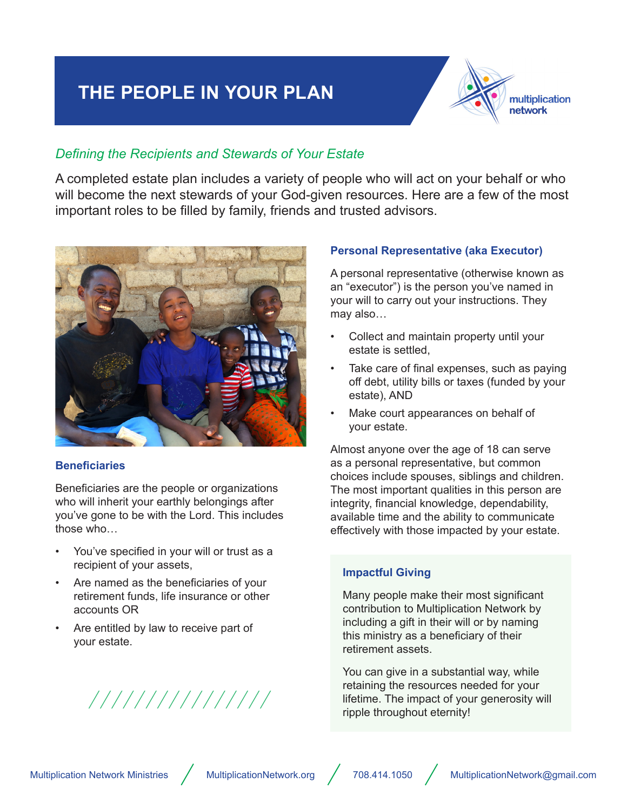## **THE PEOPLE IN YOUR PLAN**



#### *Defining the Recipients and Stewards of Your Estate*

A completed estate plan includes a variety of people who will act on your behalf or who will become the next stewards of your God-given resources. Here are a few of the most important roles to be filled by family, friends and trusted advisors.



#### **Beneficiaries**

Beneficiaries are the people or organizations who will inherit your earthly belongings after you've gone to be with the Lord. This includes those who…

- You've specified in your will or trust as a recipient of your assets,
- Are named as the beneficiaries of your retirement funds, life insurance or other accounts OR
- Are entitled by law to receive part of your estate.

# ///////////////

#### **Personal Representative (aka Executor)**

A personal representative (otherwise known as an "executor") is the person you've named in your will to carry out your instructions. They may also…

- Collect and maintain property until your estate is settled,
- Take care of final expenses, such as paying off debt, utility bills or taxes (funded by your estate), AND
- Make court appearances on behalf of your estate.

Almost anyone over the age of 18 can serve as a personal representative, but common choices include spouses, siblings and children. The most important qualities in this person are integrity, financial knowledge, dependability, available time and the ability to communicate effectively with those impacted by your estate.

#### **Impactful Giving**

Many people make their most significant contribution to Multiplication Network by including a gift in their will or by naming this ministry as a beneficiary of their retirement assets.

You can give in a substantial way, while retaining the resources needed for your lifetime. The impact of your generosity will ripple throughout eternity!